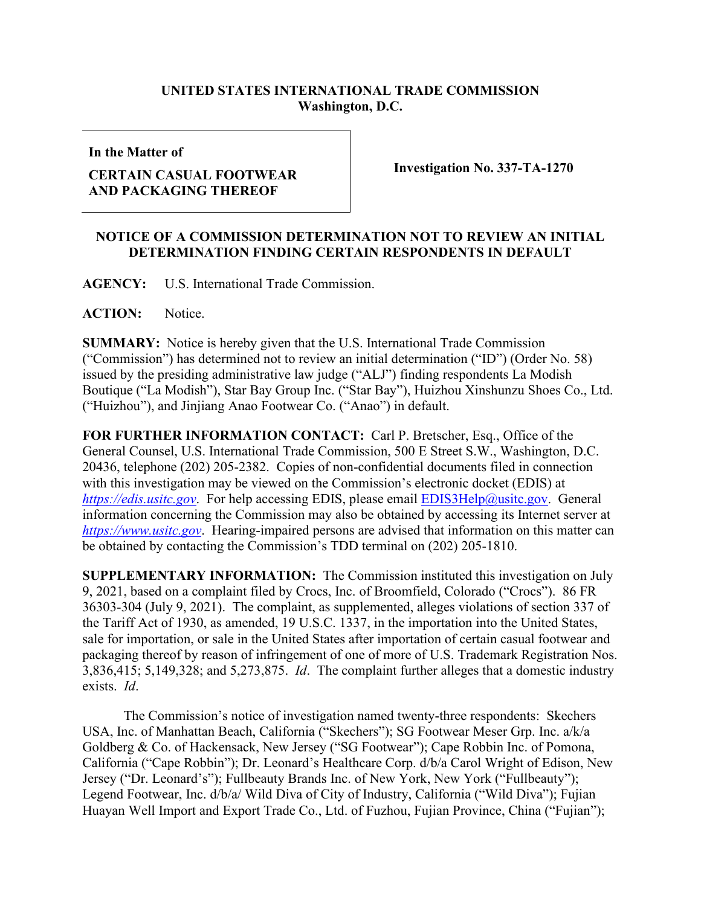## **UNITED STATES INTERNATIONAL TRADE COMMISSION Washington, D.C.**

**In the Matter of**

## **CERTAIN CASUAL FOOTWEAR AND PACKAGING THEREOF**

**Investigation No. 337-TA-1270** 

## **NOTICE OF A COMMISSION DETERMINATION NOT TO REVIEW AN INITIAL DETERMINATION FINDING CERTAIN RESPONDENTS IN DEFAULT**

**AGENCY:** U.S. International Trade Commission.

**ACTION:** Notice.

**SUMMARY:** Notice is hereby given that the U.S. International Trade Commission ("Commission") has determined not to review an initial determination ("ID") (Order No. 58) issued by the presiding administrative law judge ("ALJ") finding respondents La Modish Boutique ("La Modish"), Star Bay Group Inc. ("Star Bay"), Huizhou Xinshunzu Shoes Co., Ltd. ("Huizhou"), and Jinjiang Anao Footwear Co. ("Anao") in default.

**FOR FURTHER INFORMATION CONTACT:** Carl P. Bretscher, Esq., Office of the General Counsel, U.S. International Trade Commission, 500 E Street S.W., Washington, D.C. 20436, telephone (202) 205-2382. Copies of non-confidential documents filed in connection with this investigation may be viewed on the Commission's electronic docket (EDIS) at *[https://edis.usitc.gov](https://edis.usitc.gov/).* For help accessing EDIS, please email [EDIS3Help@usitc.gov.](mailto:EDIS3Help@usitc.gov) General information concerning the Commission may also be obtained by accessing its Internet server at *[https://www.usitc.gov](https://www.usitc.gov/)*. Hearing-impaired persons are advised that information on this matter can be obtained by contacting the Commission's TDD terminal on (202) 205-1810.

**SUPPLEMENTARY INFORMATION:** The Commission instituted this investigation on July 9, 2021, based on a complaint filed by Crocs, Inc. of Broomfield, Colorado ("Crocs"). 86 FR 36303-304 (July 9, 2021). The complaint, as supplemented, alleges violations of section 337 of the Tariff Act of 1930, as amended, 19 U.S.C. 1337, in the importation into the United States, sale for importation, or sale in the United States after importation of certain casual footwear and packaging thereof by reason of infringement of one of more of U.S. Trademark Registration Nos. 3,836,415; 5,149,328; and 5,273,875. *Id*. The complaint further alleges that a domestic industry exists. *Id*.

The Commission's notice of investigation named twenty-three respondents: Skechers USA, Inc. of Manhattan Beach, California ("Skechers"); SG Footwear Meser Grp. Inc. a/k/a Goldberg & Co. of Hackensack, New Jersey ("SG Footwear"); Cape Robbin Inc. of Pomona, California ("Cape Robbin"); Dr. Leonard's Healthcare Corp. d/b/a Carol Wright of Edison, New Jersey ("Dr. Leonard's"); Fullbeauty Brands Inc. of New York, New York ("Fullbeauty"); Legend Footwear, Inc. d/b/a/ Wild Diva of City of Industry, California ("Wild Diva"); Fujian Huayan Well Import and Export Trade Co., Ltd. of Fuzhou, Fujian Province, China ("Fujian");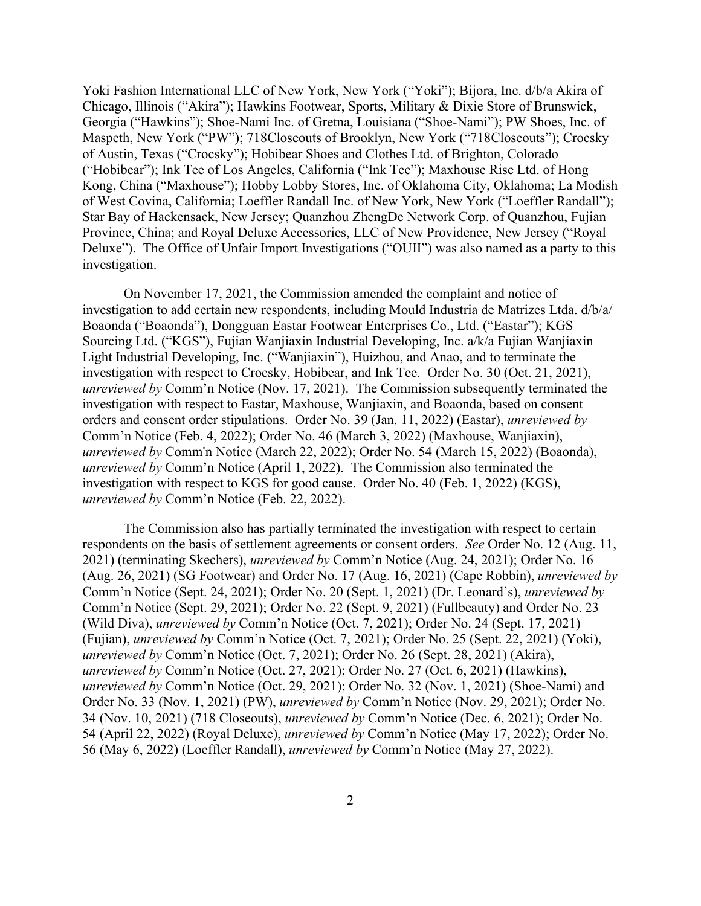Yoki Fashion International LLC of New York, New York ("Yoki"); Bijora, Inc. d/b/a Akira of Chicago, Illinois ("Akira"); Hawkins Footwear, Sports, Military & Dixie Store of Brunswick, Georgia ("Hawkins"); Shoe-Nami Inc. of Gretna, Louisiana ("Shoe-Nami"); PW Shoes, Inc. of Maspeth, New York ("PW"); 718Closeouts of Brooklyn, New York ("718Closeouts"); Crocsky of Austin, Texas ("Crocsky"); Hobibear Shoes and Clothes Ltd. of Brighton, Colorado ("Hobibear"); Ink Tee of Los Angeles, California ("Ink Tee"); Maxhouse Rise Ltd. of Hong Kong, China ("Maxhouse"); Hobby Lobby Stores, Inc. of Oklahoma City, Oklahoma; La Modish of West Covina, California; Loeffler Randall Inc. of New York, New York ("Loeffler Randall"); Star Bay of Hackensack, New Jersey; Quanzhou ZhengDe Network Corp. of Quanzhou, Fujian Province, China; and Royal Deluxe Accessories, LLC of New Providence, New Jersey ("Royal Deluxe"). The Office of Unfair Import Investigations ("OUII") was also named as a party to this investigation.

On November 17, 2021, the Commission amended the complaint and notice of investigation to add certain new respondents, including Mould Industria de Matrizes Ltda. d/b/a/ Boaonda ("Boaonda"), Dongguan Eastar Footwear Enterprises Co., Ltd. ("Eastar"); KGS Sourcing Ltd. ("KGS"), Fujian Wanjiaxin Industrial Developing, Inc. a/k/a Fujian Wanjiaxin Light Industrial Developing, Inc. ("Wanjiaxin"), Huizhou, and Anao, and to terminate the investigation with respect to Crocsky, Hobibear, and Ink Tee. Order No. 30 (Oct. 21, 2021), *unreviewed by* Comm'n Notice (Nov. 17, 2021). The Commission subsequently terminated the investigation with respect to Eastar, Maxhouse, Wanjiaxin, and Boaonda, based on consent orders and consent order stipulations. Order No. 39 (Jan. 11, 2022) (Eastar), *unreviewed by* Comm'n Notice (Feb. 4, 2022); Order No. 46 (March 3, 2022) (Maxhouse, Wanjiaxin), *unreviewed by* Comm'n Notice (March 22, 2022); Order No. 54 (March 15, 2022) (Boaonda), *unreviewed by* Comm'n Notice (April 1, 2022). The Commission also terminated the investigation with respect to KGS for good cause. Order No. 40 (Feb. 1, 2022) (KGS), *unreviewed by* Comm'n Notice (Feb. 22, 2022).

The Commission also has partially terminated the investigation with respect to certain respondents on the basis of settlement agreements or consent orders. *See* Order No. 12 (Aug. 11, 2021) (terminating Skechers), *unreviewed by* Comm'n Notice (Aug. 24, 2021); Order No. 16 (Aug. 26, 2021) (SG Footwear) and Order No. 17 (Aug. 16, 2021) (Cape Robbin), *unreviewed by* Comm'n Notice (Sept. 24, 2021); Order No. 20 (Sept. 1, 2021) (Dr. Leonard's), *unreviewed by* Comm'n Notice (Sept. 29, 2021); Order No. 22 (Sept. 9, 2021) (Fullbeauty) and Order No. 23 (Wild Diva), *unreviewed by* Comm'n Notice (Oct. 7, 2021); Order No. 24 (Sept. 17, 2021) (Fujian), *unreviewed by* Comm'n Notice (Oct. 7, 2021); Order No. 25 (Sept. 22, 2021) (Yoki), *unreviewed by* Comm'n Notice (Oct. 7, 2021); Order No. 26 (Sept. 28, 2021) (Akira), *unreviewed by* Comm'n Notice (Oct. 27, 2021); Order No. 27 (Oct. 6, 2021) (Hawkins), *unreviewed by* Comm'n Notice (Oct. 29, 2021); Order No. 32 (Nov. 1, 2021) (Shoe-Nami) and Order No. 33 (Nov. 1, 2021) (PW), *unreviewed by* Comm'n Notice (Nov. 29, 2021); Order No. 34 (Nov. 10, 2021) (718 Closeouts), *unreviewed by* Comm'n Notice (Dec. 6, 2021); Order No. 54 (April 22, 2022) (Royal Deluxe), *unreviewed by* Comm'n Notice (May 17, 2022); Order No. 56 (May 6, 2022) (Loeffler Randall), *unreviewed by* Comm'n Notice (May 27, 2022).